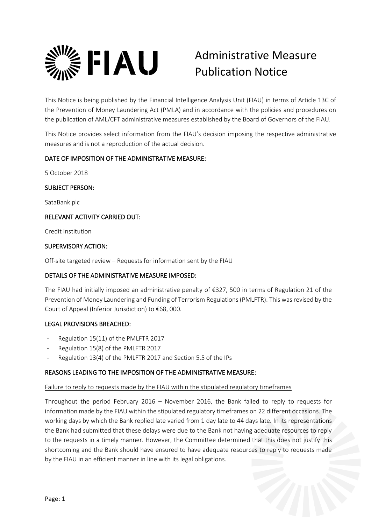

# Administrative Measure Publication Notice

This Notice is being published by the Financial Intelligence Analysis Unit (FIAU) in terms of Article 13C of the Prevention of Money Laundering Act (PMLA) and in accordance with the policies and procedures on the publication of AML/CFT administrative measures established by the Board of Governors of the FIAU.

This Notice provides select information from the FIAU's decision imposing the respective administrative measures and is not a reproduction of the actual decision.

# DATE OF IMPOSITION OF THE ADMINISTRATIVE MEASURE:

5 October 2018

# SUBJECT PERSON:

SataBank plc

# RELEVANT ACTIVITY CARRIED OUT:

Credit Institution

## SUPERVISORY ACTION:

Off-site targeted review – Requests for information sent by the FIAU

# DETAILS OF THE ADMINISTRATIVE MEASURE IMPOSED:

The FIAU had initially imposed an administrative penalty of €327, 500 in terms of Regulation 21 of the Prevention of Money Laundering and Funding of Terrorism Regulations (PMLFTR). This was revised by the Court of Appeal (Inferior Jurisdiction) to €68, 000.

# LEGAL PROVISIONS BREACHED:

- Regulation 15(11) of the PMLFTR 2017
- Regulation 15(8) of the PMLFTR 2017
- Regulation 13(4) of the PMLFTR 2017 and Section 5.5 of the IPs

# REASONS LEADING TO THE IMPOSITION OF THE ADMINISTRATIVE MEASURE:

#### Failure to reply to requests made by the FIAU within the stipulated regulatory timeframes

Throughout the period February 2016 – November 2016, the Bank failed to reply to requests for information made by the FIAU within the stipulated regulatory timeframes on 22 different occasions. The working days by which the Bank replied late varied from 1 day late to 44 days late. In its representations the Bank had submitted that these delays were due to the Bank not having adequate resources to reply to the requests in a timely manner. However, the Committee determined that this does not justify this shortcoming and the Bank should have ensured to have adequate resources to reply to requests made by the FIAU in an efficient manner in line with its legal obligations.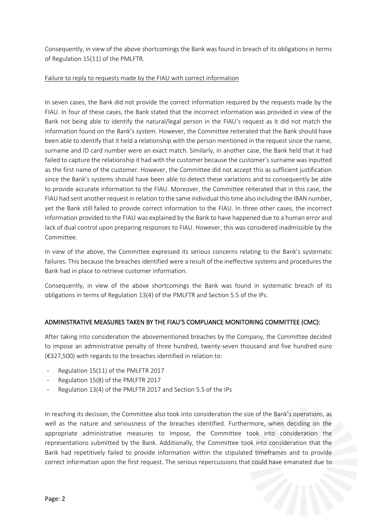Consequently, in view of the above shortcomings the Bank was found in breach of its obligations in terms of Regulation 15(11) of the PMLFTR.

## Failure to reply to requests made by the FIAU with correct information

In seven cases, the Bank did not provide the correct information required by the requests made by the FIAU. In four of these cases, the Bank stated that the incorrect information was provided in view of the Bank not being able to identify the natural/legal person in the FIAU's request as it did not match the information found on the Bank's system. However, the Committee reiterated that the Bank should have been able to identify that it held a relationship with the person mentioned in the request since the name, surname and ID card number were an exact match. Similarly, in another case, the Bank held that it had failed to capture the relationship it had with the customer because the customer's surname was inputted as the first name of the customer. However, the Committee did not accept this as sufficient justification since the Bank's systems should have been able to detect these variations and to consequently be able to provide accurate information to the FIAU. Moreover, the Committee reiterated that in this case, the FIAU had sent another request in relation to the same individual this time also including the IBAN number, yet the Bank still failed to provide correct information to the FIAU. In three other cases, the incorrect information provided to the FIAU was explained by the Bank to have happened due to a human error and lack of dual control upon preparing responses to FIAU. However, this was considered inadmissible by the Committee.

In view of the above, the Committee expressed its serious concerns relating to the Bank's systematic failures. This because the breaches identified were a result of the ineffective systems and procedures the Bank had in place to retrieve customer information.

Consequently, in view of the above shortcomings the Bank was found in systematic breach of its obligations in terms of Regulation 13(4) of the PMLFTR and Section 5.5 of the IPs.

# ADMINISTRATIVE MEASURES TAKEN BY THE FIAU'S COMPLIANCE MONITORING COMMITTEE (CMC):

After taking into consideration the abovementioned breaches by the Company, the Committee decided to impose an administrative penalty of three hundred, twenty-seven thousand and five hundred euro (€327,500) with regards to the breaches identified in relation to:

- Regulation 15(11) of the PMLFTR 2017
- Regulation 15(8) of the PMLFTR 2017
- Regulation 13(4) of the PMLFTR 2017 and Section 5.5 of the IPs

In reaching its decision, the Committee also took into consideration the size of the Bank's operations, as well as the nature and seriousness of the breaches identified. Furthermore, when deciding on the appropriate administrative measures to impose, the Committee took into consideration the representations submitted by the Bank. Additionally, the Committee took into consideration that the Bank had repetitively failed to provide information within the stipulated timeframes and to provide correct information upon the first request. The serious repercussions that could have emanated due to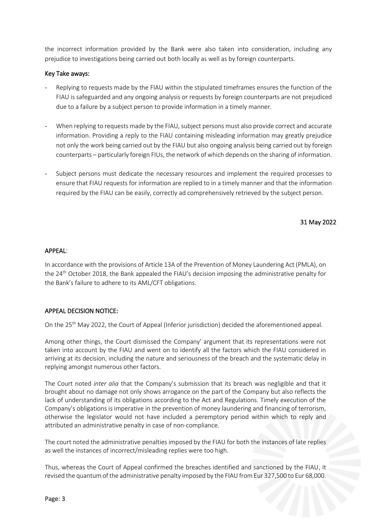the incorrect information provided by the Bank were also taken into consideration, including any prejudice to investigations being carried out both locally as well as by foreign counterparts.

## Key Take aways:

- Replying to requests made by the FIAU within the stipulated timeframes ensures the function of the FIAU is safeguarded and any ongoing analysis or requests by foreign counterparts are not prejudiced due to a failure by a subject person to provide information in a timely manner.
- When replying to requests made by the FIAU, subject persons must also provide correct and accurate information. Providing a reply to the FIAU containing misleading information may greatly prejudice not only the work being carried out by the FIAU but also ongoing analysis being carried out by foreign counterparts – particularly foreign FIUs, the network of which depends on the sharing of information.
- Subject persons must dedicate the necessary resources and implement the required processes to ensure that FIAU requests for information are replied to in a timely manner and that the information required by the FIAU can be easily, correctly ad comprehensively retrieved by the subject person.

## 31 May 2022

## APPEAL:

In accordance with the provisions of Article 13A of the Prevention of Money Laundering Act (PMLA), on the 24th October 2018, the Bank appealed the FIAU's decision imposing the administrative penalty for the Bank's failure to adhere to its AML/CFT obligations.

# APPEAL DECISION NOTICE:

On the 25<sup>th</sup> May 2022, the Court of Appeal (Inferior jurisdiction) decided the aforementioned appeal.

Among other things, the Court dismissed the Company' argument that its representations were not taken into account by the FIAU and went on to identify all the factors which the FIAU considered in arriving at its decision, including the nature and seriousness of the breach and the systematic delay in replying amongst numerous other factors.

The Court noted *inter alia* that the Company's submission that its breach was negligible and that it brought about no damage not only shows arrogance on the part of the Company but also reflects the lack of understanding of its obligations according to the Act and Regulations. Timely execution of the Company's obligations is imperative in the prevention of money laundering and financing of terrorism, otherwise the legislator would not have included a peremptory period within which to reply and attributed an administrative penalty in case of non-compliance.

The court noted the administrative penalties imposed by the FIAU for both the instances of late replies as well the instances of incorrect/misleading replies were too high.

Thus, whereas the Court of Appeal confirmed the breaches identified and sanctioned by the FIAU, it revised the quantum of the administrative penalty imposed by the FIAU from Eur 327,500 to Eur 68,000.